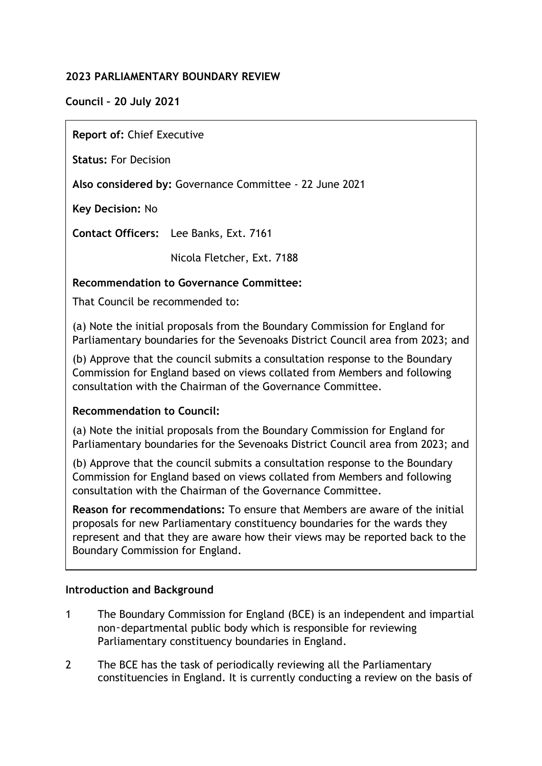## **2023 PARLIAMENTARY BOUNDARY REVIEW**

**Council – 20 July 2021**

**Report of:** Chief Executive

**Status:** For Decision

**Also considered by:** Governance Committee - 22 June 2021

**Key Decision:** No

**Contact Officers:** Lee Banks, Ext. 7161

Nicola Fletcher, Ext. 7188

## **Recommendation to Governance Committee:**

That Council be recommended to:

(a) Note the initial proposals from the Boundary Commission for England for Parliamentary boundaries for the Sevenoaks District Council area from 2023; and

(b) Approve that the council submits a consultation response to the Boundary Commission for England based on views collated from Members and following consultation with the Chairman of the Governance Committee.

### **Recommendation to Council:**

(a) Note the initial proposals from the Boundary Commission for England for Parliamentary boundaries for the Sevenoaks District Council area from 2023; and

(b) Approve that the council submits a consultation response to the Boundary Commission for England based on views collated from Members and following consultation with the Chairman of the Governance Committee.

**Reason for recommendations:** To ensure that Members are aware of the initial proposals for new Parliamentary constituency boundaries for the wards they represent and that they are aware how their views may be reported back to the Boundary Commission for England.

### **Introduction and Background**

- 1 The Boundary Commission for England (BCE) is an independent and impartial non‑departmental public body which is responsible for reviewing Parliamentary constituency boundaries in England.
- 2 The BCE has the task of periodically reviewing all the Parliamentary constituencies in England. It is currently conducting a review on the basis of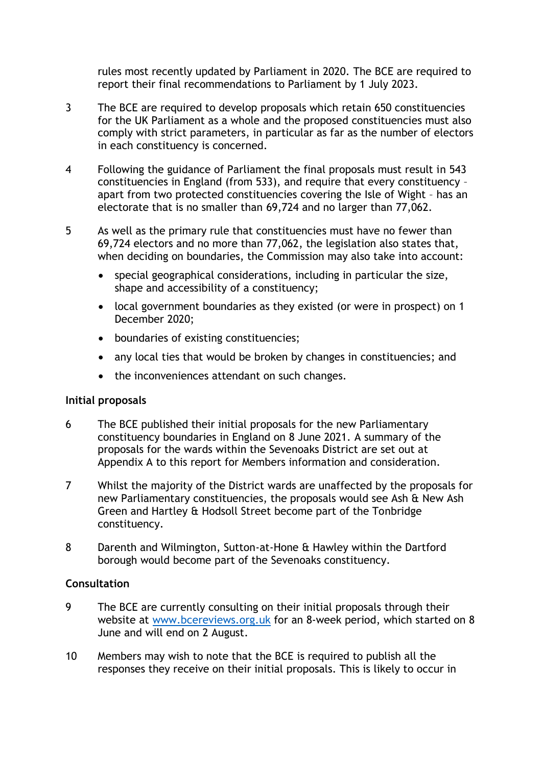rules most recently updated by Parliament in 2020. The BCE are required to report their final recommendations to Parliament by 1 July 2023.

- 3 The BCE are required to develop proposals which retain 650 constituencies for the UK Parliament as a whole and the proposed constituencies must also comply with strict parameters, in particular as far as the number of electors in each constituency is concerned.
- 4 Following the guidance of Parliament the final proposals must result in 543 constituencies in England (from 533), and require that every constituency – apart from two protected constituencies covering the Isle of Wight – has an electorate that is no smaller than 69,724 and no larger than 77,062.
- 5 As well as the primary rule that constituencies must have no fewer than 69,724 electors and no more than 77,062, the legislation also states that, when deciding on boundaries, the Commission may also take into account:
	- special geographical considerations, including in particular the size, shape and accessibility of a constituency;
	- local government boundaries as they existed (or were in prospect) on 1 December 2020;
	- boundaries of existing constituencies;
	- any local ties that would be broken by changes in constituencies; and
	- the inconveniences attendant on such changes.

### **Initial proposals**

- 6 The BCE published their initial proposals for the new Parliamentary constituency boundaries in England on 8 June 2021. A summary of the proposals for the wards within the Sevenoaks District are set out at Appendix A to this report for Members information and consideration.
- 7 Whilst the majority of the District wards are unaffected by the proposals for new Parliamentary constituencies, the proposals would see Ash & New Ash Green and Hartley & Hodsoll Street become part of the Tonbridge constituency.
- 8 Darenth and Wilmington, Sutton-at-Hone & Hawley within the Dartford borough would become part of the Sevenoaks constituency.

### **Consultation**

- 9 The BCE are currently consulting on their initial proposals through their website at [www.bcereviews.org.uk](http://www.bcereviews.org.uk/) for an 8-week period, which started on 8 June and will end on 2 August.
- 10 Members may wish to note that the BCE is required to publish all the responses they receive on their initial proposals. This is likely to occur in